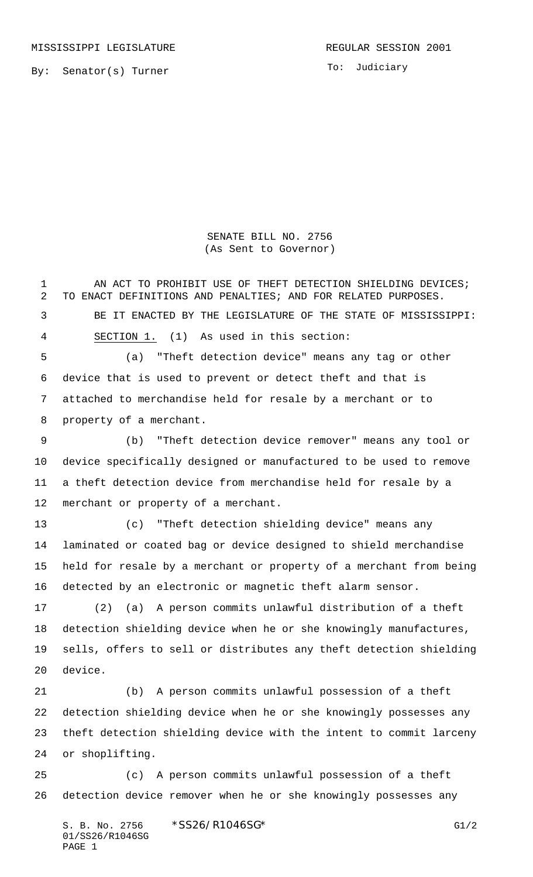To: Judiciary

## SENATE BILL NO. 2756 (As Sent to Governor)

1 AN ACT TO PROHIBIT USE OF THEFT DETECTION SHIELDING DEVICES; TO ENACT DEFINITIONS AND PENALTIES; AND FOR RELATED PURPOSES. BE IT ENACTED BY THE LEGISLATURE OF THE STATE OF MISSISSIPPI: SECTION 1. (1) As used in this section: (a) "Theft detection device" means any tag or other device that is used to prevent or detect theft and that is attached to merchandise held for resale by a merchant or to property of a merchant. (b) "Theft detection device remover" means any tool or device specifically designed or manufactured to be used to remove a theft detection device from merchandise held for resale by a merchant or property of a merchant. (c) "Theft detection shielding device" means any laminated or coated bag or device designed to shield merchandise held for resale by a merchant or property of a merchant from being detected by an electronic or magnetic theft alarm sensor. (2) (a) A person commits unlawful distribution of a theft detection shielding device when he or she knowingly manufactures, sells, offers to sell or distributes any theft detection shielding device. (b) A person commits unlawful possession of a theft detection shielding device when he or she knowingly possesses any theft detection shielding device with the intent to commit larceny or shoplifting. (c) A person commits unlawful possession of a theft detection device remover when he or she knowingly possesses any

S. B. No. 2756 \* SS26/R1046SG\* G1/2 01/SS26/R1046SG PAGE 1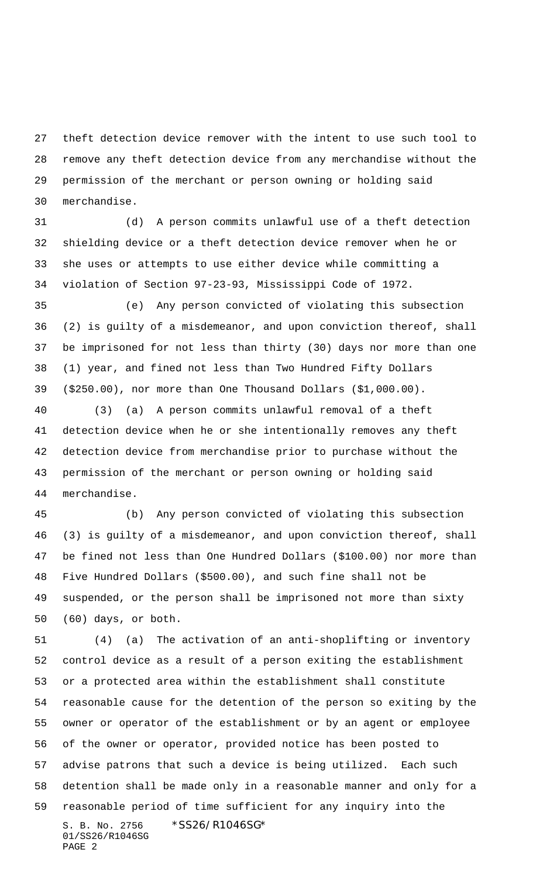theft detection device remover with the intent to use such tool to remove any theft detection device from any merchandise without the permission of the merchant or person owning or holding said merchandise.

 (d) A person commits unlawful use of a theft detection shielding device or a theft detection device remover when he or she uses or attempts to use either device while committing a violation of Section 97-23-93, Mississippi Code of 1972.

 (e) Any person convicted of violating this subsection (2) is guilty of a misdemeanor, and upon conviction thereof, shall be imprisoned for not less than thirty (30) days nor more than one (1) year, and fined not less than Two Hundred Fifty Dollars (\$250.00), nor more than One Thousand Dollars (\$1,000.00).

 (3) (a) A person commits unlawful removal of a theft detection device when he or she intentionally removes any theft detection device from merchandise prior to purchase without the permission of the merchant or person owning or holding said merchandise.

 (b) Any person convicted of violating this subsection (3) is guilty of a misdemeanor, and upon conviction thereof, shall be fined not less than One Hundred Dollars (\$100.00) nor more than Five Hundred Dollars (\$500.00), and such fine shall not be suspended, or the person shall be imprisoned not more than sixty (60) days, or both.

S. B. No. 2756 \*SS26/R1046SG\* 01/SS26/R1046SG PAGE 2 (4) (a) The activation of an anti-shoplifting or inventory control device as a result of a person exiting the establishment or a protected area within the establishment shall constitute reasonable cause for the detention of the person so exiting by the owner or operator of the establishment or by an agent or employee of the owner or operator, provided notice has been posted to advise patrons that such a device is being utilized. Each such detention shall be made only in a reasonable manner and only for a reasonable period of time sufficient for any inquiry into the